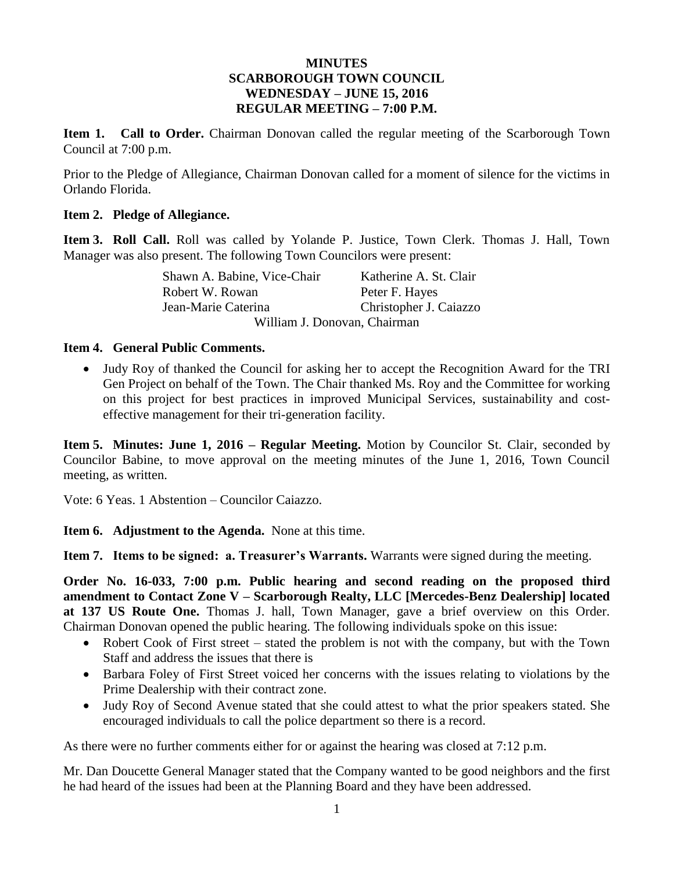### **MINUTES SCARBOROUGH TOWN COUNCIL WEDNESDAY – JUNE 15, 2016 REGULAR MEETING – 7:00 P.M.**

**Item 1. Call to Order.** Chairman Donovan called the regular meeting of the Scarborough Town Council at 7:00 p.m.

Prior to the Pledge of Allegiance, Chairman Donovan called for a moment of silence for the victims in Orlando Florida.

### **Item 2. Pledge of Allegiance.**

**Item 3. Roll Call.** Roll was called by Yolande P. Justice, Town Clerk. Thomas J. Hall, Town Manager was also present. The following Town Councilors were present:

> Shawn A. Babine, Vice-Chair Katherine A. St. Clair Robert W. Rowan Peter F. Hayes Jean-Marie Caterina Christopher J. Caiazzo William J. Donovan, Chairman

### **Item 4. General Public Comments.**

 Judy Roy of thanked the Council for asking her to accept the Recognition Award for the TRI Gen Project on behalf of the Town. The Chair thanked Ms. Roy and the Committee for working on this project for best practices in improved Municipal Services, sustainability and costeffective management for their tri-generation facility.

**Item 5. Minutes: June 1, 2016 – Regular Meeting.** Motion by Councilor St. Clair, seconded by Councilor Babine, to move approval on the meeting minutes of the June 1, 2016, Town Council meeting, as written.

Vote: 6 Yeas. 1 Abstention – Councilor Caiazzo.

**Item 6. Adjustment to the Agenda.** None at this time.

**Item 7. Items to be signed: a. Treasurer's Warrants.** Warrants were signed during the meeting.

**Order No. 16-033, 7:00 p.m. Public hearing and second reading on the proposed third amendment to Contact Zone V – Scarborough Realty, LLC [Mercedes-Benz Dealership] located at 137 US Route One.** Thomas J. hall, Town Manager, gave a brief overview on this Order. Chairman Donovan opened the public hearing. The following individuals spoke on this issue:

- Robert Cook of First street stated the problem is not with the company, but with the Town Staff and address the issues that there is
- Barbara Foley of First Street voiced her concerns with the issues relating to violations by the Prime Dealership with their contract zone.
- Judy Roy of Second Avenue stated that she could attest to what the prior speakers stated. She encouraged individuals to call the police department so there is a record.

As there were no further comments either for or against the hearing was closed at 7:12 p.m.

Mr. Dan Doucette General Manager stated that the Company wanted to be good neighbors and the first he had heard of the issues had been at the Planning Board and they have been addressed.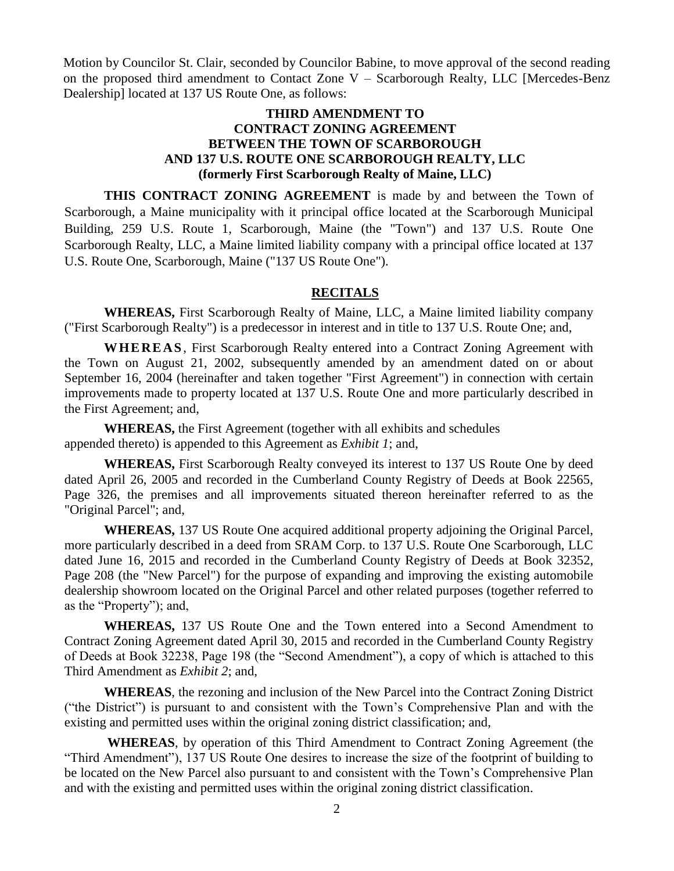Motion by Councilor St. Clair, seconded by Councilor Babine, to move approval of the second reading on the proposed third amendment to Contact Zone V – Scarborough Realty, LLC [Mercedes-Benz Dealership] located at 137 US Route One, as follows:

## **THIRD AMENDMENT TO CONTRACT ZONING AGREEMENT BETWEEN THE TOWN OF SCARBOROUGH AND 137 U.S. ROUTE ONE SCARBOROUGH REALTY, LLC (formerly First Scarborough Realty of Maine, LLC)**

**THIS CONTRACT ZONING AGREEMENT** is made by and between the Town of Scarborough, a Maine municipality with it principal office located at the Scarborough Municipal Building, 259 U.S. Route 1, Scarborough, Maine (the "Town") and 137 U.S. Route One Scarborough Realty, LLC, a Maine limited liability company with a principal office located at 137 U.S. Route One, Scarborough, Maine ("137 US Route One").

#### **RECITALS**

**WHEREAS,** First Scarborough Realty of Maine, LLC, a Maine limited liability company ("First Scarborough Realty") is a predecessor in interest and in title to 137 U.S. Route One; and,

**W HE RE AS** , First Scarborough Realty entered into a Contract Zoning Agreement with the Town on August 21, 2002, subsequently amended by an amendment dated on or about September 16, 2004 (hereinafter and taken together "First Agreement") in connection with certain improvements made to property located at 137 U.S. Route One and more particularly described in the First Agreement; and,

**WHEREAS,** the First Agreement (together with all exhibits and schedules appended thereto) is appended to this Agreement as *Exhibit 1*; and,

**WHEREAS,** First Scarborough Realty conveyed its interest to 137 US Route One by deed dated April 26, 2005 and recorded in the Cumberland County Registry of Deeds at Book 22565, Page 326, the premises and all improvements situated thereon hereinafter referred to as the "Original Parcel"; and,

**WHEREAS,** 137 US Route One acquired additional property adjoining the Original Parcel, more particularly described in a deed from SRAM Corp. to 137 U.S. Route One Scarborough, LLC dated June 16, 2015 and recorded in the Cumberland County Registry of Deeds at Book 32352, Page 208 (the "New Parcel") for the purpose of expanding and improving the existing automobile dealership showroom located on the Original Parcel and other related purposes (together referred to as the "Property"); and,

**WHEREAS,** 137 US Route One and the Town entered into a Second Amendment to Contract Zoning Agreement dated April 30, 2015 and recorded in the Cumberland County Registry of Deeds at Book 32238, Page 198 (the "Second Amendment"), a copy of which is attached to this Third Amendment as *Exhibit 2*; and,

**WHEREAS**, the rezoning and inclusion of the New Parcel into the Contract Zoning District ("the District") is pursuant to and consistent with the Town's Comprehensive Plan and with the existing and permitted uses within the original zoning district classification; and,

**WHEREAS**, by operation of this Third Amendment to Contract Zoning Agreement (the "Third Amendment"), 137 US Route One desires to increase the size of the footprint of building to be located on the New Parcel also pursuant to and consistent with the Town's Comprehensive Plan and with the existing and permitted uses within the original zoning district classification.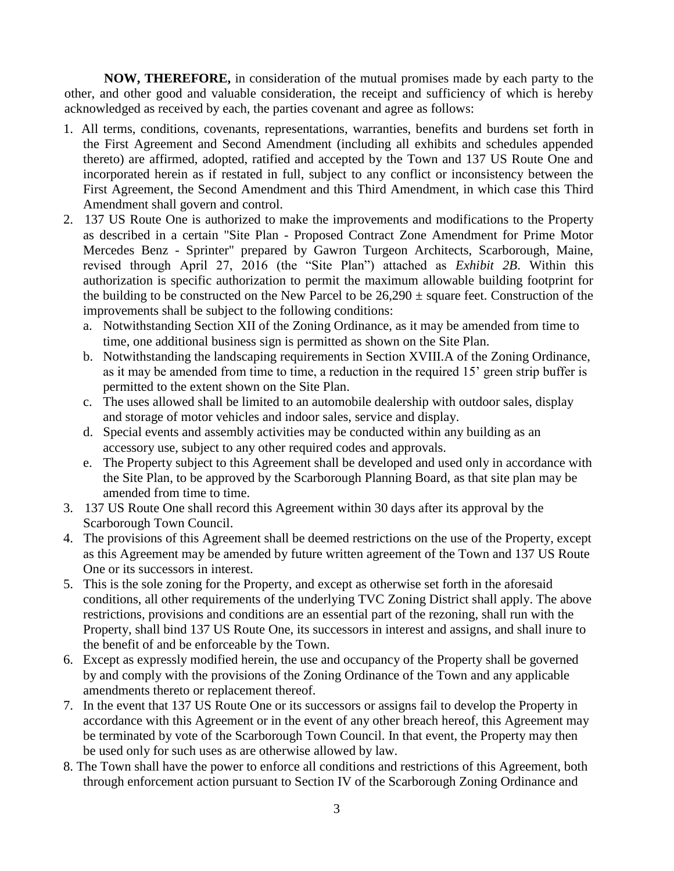**NOW, THEREFORE,** in consideration of the mutual promises made by each party to the other, and other good and valuable consideration, the receipt and sufficiency of which is hereby acknowledged as received by each, the parties covenant and agree as follows:

- 1. All terms, conditions, covenants, representations, warranties, benefits and burdens set forth in the First Agreement and Second Amendment (including all exhibits and schedules appended thereto) are affirmed, adopted, ratified and accepted by the Town and 137 US Route One and incorporated herein as if restated in full, subject to any conflict or inconsistency between the First Agreement, the Second Amendment and this Third Amendment, in which case this Third Amendment shall govern and control.
- 2. 137 US Route One is authorized to make the improvements and modifications to the Property as described in a certain "Site Plan - Proposed Contract Zone Amendment for Prime Motor Mercedes Benz - Sprinter" prepared by Gawron Turgeon Architects, Scarborough, Maine, revised through April 27, 2016 (the "Site Plan") attached as *Exhibit 2B*. Within this authorization is specific authorization to permit the maximum allowable building footprint for the building to be constructed on the New Parcel to be  $26,290 \pm$  square feet. Construction of the improvements shall be subject to the following conditions:
	- a. Notwithstanding Section XII of the Zoning Ordinance, as it may be amended from time to time, one additional business sign is permitted as shown on the Site Plan.
	- b. Notwithstanding the landscaping requirements in Section XVIII.A of the Zoning Ordinance, as it may be amended from time to time, a reduction in the required 15' green strip buffer is permitted to the extent shown on the Site Plan.
	- c. The uses allowed shall be limited to an automobile dealership with outdoor sales, display and storage of motor vehicles and indoor sales, service and display.
	- d. Special events and assembly activities may be conducted within any building as an accessory use, subject to any other required codes and approvals.
	- e. The Property subject to this Agreement shall be developed and used only in accordance with the Site Plan, to be approved by the Scarborough Planning Board, as that site plan may be amended from time to time.
- 3. 137 US Route One shall record this Agreement within 30 days after its approval by the Scarborough Town Council.
- 4. The provisions of this Agreement shall be deemed restrictions on the use of the Property, except as this Agreement may be amended by future written agreement of the Town and 137 US Route One or its successors in interest.
- 5. This is the sole zoning for the Property, and except as otherwise set forth in the aforesaid conditions, all other requirements of the underlying TVC Zoning District shall apply. The above restrictions, provisions and conditions are an essential part of the rezoning, shall run with the Property, shall bind 137 US Route One, its successors in interest and assigns, and shall inure to the benefit of and be enforceable by the Town.
- 6. Except as expressly modified herein, the use and occupancy of the Property shall be governed by and comply with the provisions of the Zoning Ordinance of the Town and any applicable amendments thereto or replacement thereof.
- 7. In the event that 137 US Route One or its successors or assigns fail to develop the Property in accordance with this Agreement or in the event of any other breach hereof, this Agreement may be terminated by vote of the Scarborough Town Council. In that event, the Property may then be used only for such uses as are otherwise allowed by law.
- 8. The Town shall have the power to enforce all conditions and restrictions of this Agreement, both through enforcement action pursuant to Section IV of the Scarborough Zoning Ordinance and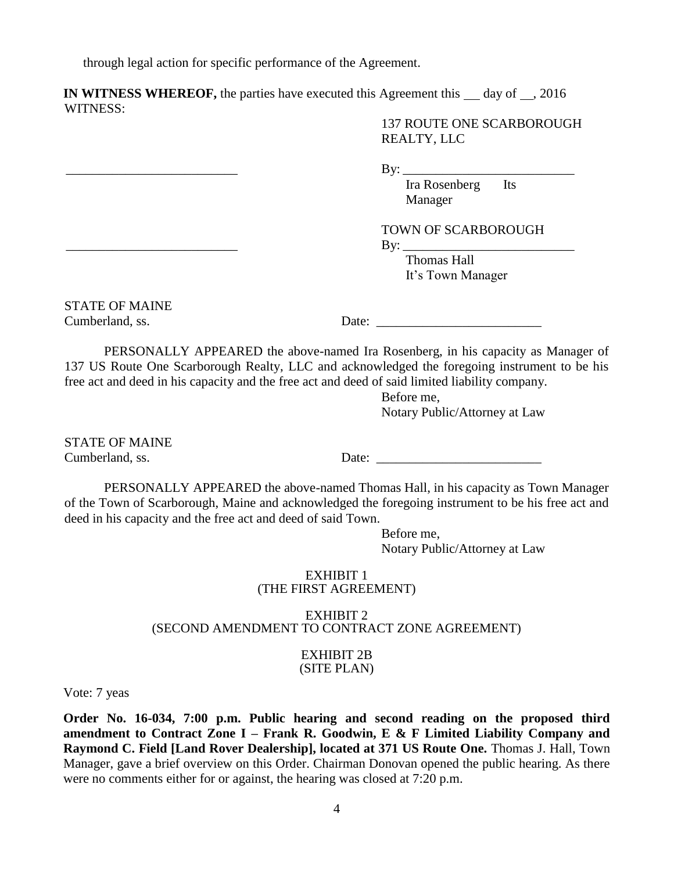through legal action for specific performance of the Agreement.

**IN WITNESS WHEREOF,** the parties have executed this Agreement this day of , 2016 WITNESS:

> 137 ROUTE ONE SCARBOROUGH REALTY, LLC

\_\_\_\_\_\_\_\_\_\_\_\_\_\_\_\_\_\_\_\_\_\_\_\_\_\_ By: \_\_\_\_\_\_\_\_\_\_\_\_\_\_\_\_\_\_\_\_\_\_\_\_\_\_

Ira Rosenberg Its Manager

TOWN OF SCARBOROUGH

 $\rm\,By:$ 

Thomas Hall It's Town Manager

STATE OF MAINE Cumberland, ss. Date:

PERSONALLY APPEARED the above-named Ira Rosenberg, in his capacity as Manager of 137 US Route One Scarborough Realty, LLC and acknowledged the foregoing instrument to be his free act and deed in his capacity and the free act and deed of said limited liability company.

Before me, Notary Public/Attorney at Law

STATE OF MAINE

Cumberland, ss. Date:

PERSONALLY APPEARED the above-named Thomas Hall, in his capacity as Town Manager of the Town of Scarborough, Maine and acknowledged the foregoing instrument to be his free act and deed in his capacity and the free act and deed of said Town.

> Before me, Notary Public/Attorney at Law

#### EXHIBIT 1 (THE FIRST AGREEMENT)

### EXHIBIT 2 (SECOND AMENDMENT TO CONTRACT ZONE AGREEMENT)

#### EXHIBIT 2B (SITE PLAN)

Vote: 7 yeas

**Order No. 16-034, 7:00 p.m. Public hearing and second reading on the proposed third amendment to Contract Zone I – Frank R. Goodwin, E & F Limited Liability Company and Raymond C. Field [Land Rover Dealership], located at 371 US Route One.** Thomas J. Hall, Town Manager, gave a brief overview on this Order. Chairman Donovan opened the public hearing. As there were no comments either for or against, the hearing was closed at 7:20 p.m.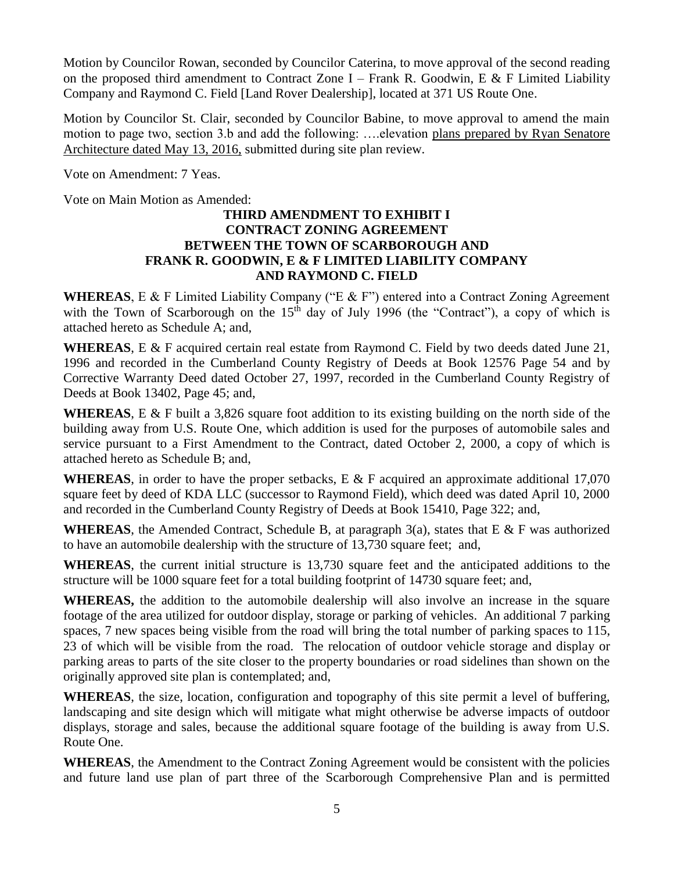Motion by Councilor Rowan, seconded by Councilor Caterina, to move approval of the second reading on the proposed third amendment to Contract Zone  $I$  – Frank R. Goodwin, E & F Limited Liability Company and Raymond C. Field [Land Rover Dealership], located at 371 US Route One.

Motion by Councilor St. Clair, seconded by Councilor Babine, to move approval to amend the main motion to page two, section 3.b and add the following: ….elevation plans prepared by Ryan Senatore Architecture dated May 13, 2016, submitted during site plan review.

Vote on Amendment: 7 Yeas.

Vote on Main Motion as Amended:

### **THIRD AMENDMENT TO EXHIBIT I CONTRACT ZONING AGREEMENT BETWEEN THE TOWN OF SCARBOROUGH AND FRANK R. GOODWIN, E & F LIMITED LIABILITY COMPANY AND RAYMOND C. FIELD**

**WHEREAS**, E & F Limited Liability Company ("E & F") entered into a Contract Zoning Agreement with the Town of Scarborough on the  $15<sup>th</sup>$  day of July 1996 (the "Contract"), a copy of which is attached hereto as Schedule A; and,

**WHEREAS**, E & F acquired certain real estate from Raymond C. Field by two deeds dated June 21, 1996 and recorded in the Cumberland County Registry of Deeds at Book 12576 Page 54 and by Corrective Warranty Deed dated October 27, 1997, recorded in the Cumberland County Registry of Deeds at Book 13402, Page 45; and,

**WHEREAS**, E & F built a 3,826 square foot addition to its existing building on the north side of the building away from U.S. Route One, which addition is used for the purposes of automobile sales and service pursuant to a First Amendment to the Contract, dated October 2, 2000, a copy of which is attached hereto as Schedule B; and,

**WHEREAS**, in order to have the proper setbacks,  $E \& F$  acquired an approximate additional 17,070 square feet by deed of KDA LLC (successor to Raymond Field), which deed was dated April 10, 2000 and recorded in the Cumberland County Registry of Deeds at Book 15410, Page 322; and,

**WHEREAS**, the Amended Contract, Schedule B, at paragraph  $3(a)$ , states that E & F was authorized to have an automobile dealership with the structure of 13,730 square feet; and,

**WHEREAS**, the current initial structure is 13,730 square feet and the anticipated additions to the structure will be 1000 square feet for a total building footprint of 14730 square feet; and,

**WHEREAS,** the addition to the automobile dealership will also involve an increase in the square footage of the area utilized for outdoor display, storage or parking of vehicles. An additional 7 parking spaces, 7 new spaces being visible from the road will bring the total number of parking spaces to 115, 23 of which will be visible from the road. The relocation of outdoor vehicle storage and display or parking areas to parts of the site closer to the property boundaries or road sidelines than shown on the originally approved site plan is contemplated; and,

**WHEREAS**, the size, location, configuration and topography of this site permit a level of buffering, landscaping and site design which will mitigate what might otherwise be adverse impacts of outdoor displays, storage and sales, because the additional square footage of the building is away from U.S. Route One.

**WHEREAS**, the Amendment to the Contract Zoning Agreement would be consistent with the policies and future land use plan of part three of the Scarborough Comprehensive Plan and is permitted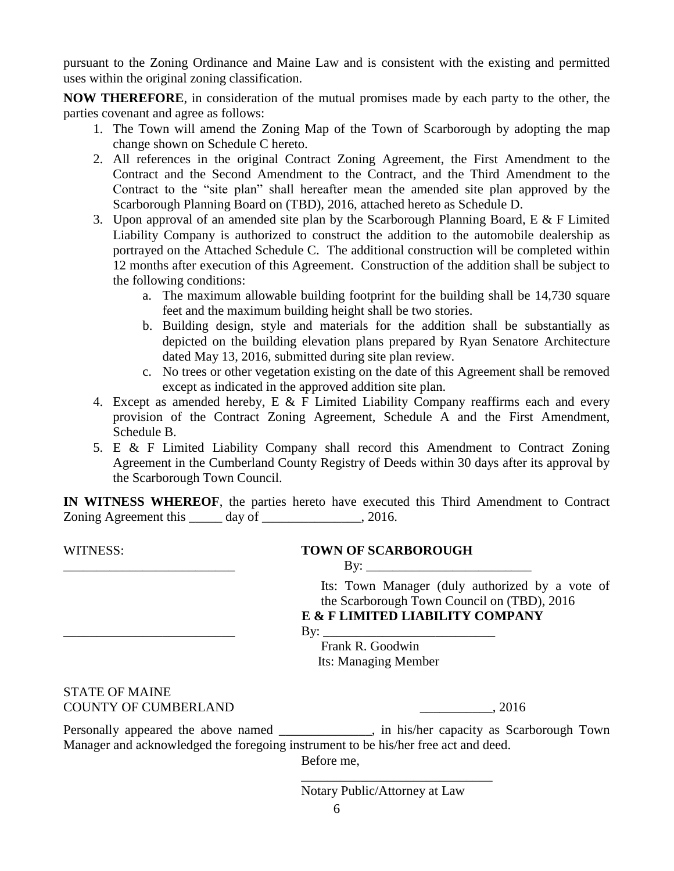pursuant to the Zoning Ordinance and Maine Law and is consistent with the existing and permitted uses within the original zoning classification.

**NOW THEREFORE**, in consideration of the mutual promises made by each party to the other, the parties covenant and agree as follows:

- 1. The Town will amend the Zoning Map of the Town of Scarborough by adopting the map change shown on Schedule C hereto.
- 2. All references in the original Contract Zoning Agreement, the First Amendment to the Contract and the Second Amendment to the Contract, and the Third Amendment to the Contract to the "site plan" shall hereafter mean the amended site plan approved by the Scarborough Planning Board on (TBD), 2016, attached hereto as Schedule D.
- 3. Upon approval of an amended site plan by the Scarborough Planning Board, E & F Limited Liability Company is authorized to construct the addition to the automobile dealership as portrayed on the Attached Schedule C. The additional construction will be completed within 12 months after execution of this Agreement. Construction of the addition shall be subject to the following conditions:
	- a. The maximum allowable building footprint for the building shall be 14,730 square feet and the maximum building height shall be two stories.
	- b. Building design, style and materials for the addition shall be substantially as depicted on the building elevation plans prepared by Ryan Senatore Architecture dated May 13, 2016, submitted during site plan review.
	- c. No trees or other vegetation existing on the date of this Agreement shall be removed except as indicated in the approved addition site plan.
- 4. Except as amended hereby, E & F Limited Liability Company reaffirms each and every provision of the Contract Zoning Agreement, Schedule A and the First Amendment, Schedule B.
- 5. E & F Limited Liability Company shall record this Amendment to Contract Zoning Agreement in the Cumberland County Registry of Deeds within 30 days after its approval by the Scarborough Town Council.

**IN WITNESS WHEREOF**, the parties hereto have executed this Third Amendment to Contract Zoning Agreement this \_\_\_\_\_ day of \_\_\_\_\_\_\_\_\_\_\_\_\_, 2016.

# WITNESS: **TOWN OF SCARBOROUGH**

\_\_\_\_\_\_\_\_\_\_\_\_\_\_\_\_\_\_\_\_\_\_\_\_\_\_ By: \_\_\_\_\_\_\_\_\_\_\_\_\_\_\_\_\_\_\_\_\_\_\_\_\_

Its: Town Manager (duly authorized by a vote of the Scarborough Town Council on (TBD), 2016

**E & F LIMITED LIABILITY COMPANY**

\_\_\_\_\_\_\_\_\_\_\_\_\_\_\_\_\_\_\_\_\_\_\_\_\_\_ By: \_\_\_\_\_\_\_\_\_\_\_\_\_\_\_\_\_\_\_\_\_\_\_\_\_\_

 Frank R. Goodwin Its: Managing Member

STATE OF MAINE COUNTY OF CUMBERLAND \_\_\_\_\_\_\_\_\_\_\_, 2016

Personally appeared the above named \_\_\_\_\_\_\_\_\_\_\_, in his/her capacity as Scarborough Town Manager and acknowledged the foregoing instrument to be his/her free act and deed. Before me,

Notary Public/Attorney at Law

\_\_\_\_\_\_\_\_\_\_\_\_\_\_\_\_\_\_\_\_\_\_\_\_\_\_\_\_\_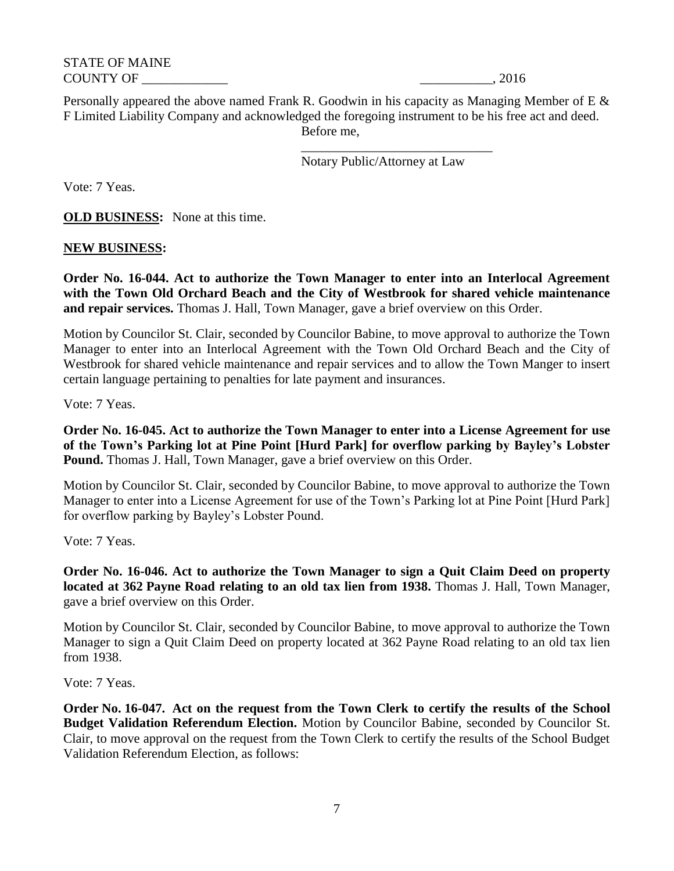#### STATE OF MAINE COUNTY OF  $\sim$  2016

Personally appeared the above named Frank R. Goodwin in his capacity as Managing Member of E  $\&$ F Limited Liability Company and acknowledged the foregoing instrument to be his free act and deed. Before me,

Notary Public/Attorney at Law

\_\_\_\_\_\_\_\_\_\_\_\_\_\_\_\_\_\_\_\_\_\_\_\_\_\_\_\_\_

Vote: 7 Yeas.

**OLD BUSINESS:** None at this time.

#### **NEW BUSINESS:**

**Order No. 16-044. Act to authorize the Town Manager to enter into an Interlocal Agreement with the Town Old Orchard Beach and the City of Westbrook for shared vehicle maintenance and repair services.** Thomas J. Hall, Town Manager, gave a brief overview on this Order.

Motion by Councilor St. Clair, seconded by Councilor Babine, to move approval to authorize the Town Manager to enter into an Interlocal Agreement with the Town Old Orchard Beach and the City of Westbrook for shared vehicle maintenance and repair services and to allow the Town Manger to insert certain language pertaining to penalties for late payment and insurances.

Vote: 7 Yeas.

**Order No. 16-045. Act to authorize the Town Manager to enter into a License Agreement for use of the Town's Parking lot at Pine Point [Hurd Park] for overflow parking by Bayley's Lobster Pound.** Thomas J. Hall, Town Manager, gave a brief overview on this Order.

Motion by Councilor St. Clair, seconded by Councilor Babine, to move approval to authorize the Town Manager to enter into a License Agreement for use of the Town's Parking lot at Pine Point [Hurd Park] for overflow parking by Bayley's Lobster Pound.

Vote: 7 Yeas.

**Order No. 16-046. Act to authorize the Town Manager to sign a Quit Claim Deed on property located at 362 Payne Road relating to an old tax lien from 1938.** Thomas J. Hall, Town Manager, gave a brief overview on this Order.

Motion by Councilor St. Clair, seconded by Councilor Babine, to move approval to authorize the Town Manager to sign a Quit Claim Deed on property located at 362 Payne Road relating to an old tax lien from 1938.

Vote: 7 Yeas.

**Order No. 16-047. Act on the request from the Town Clerk to certify the results of the School Budget Validation Referendum Election.** Motion by Councilor Babine, seconded by Councilor St. Clair, to move approval on the request from the Town Clerk to certify the results of the School Budget Validation Referendum Election, as follows: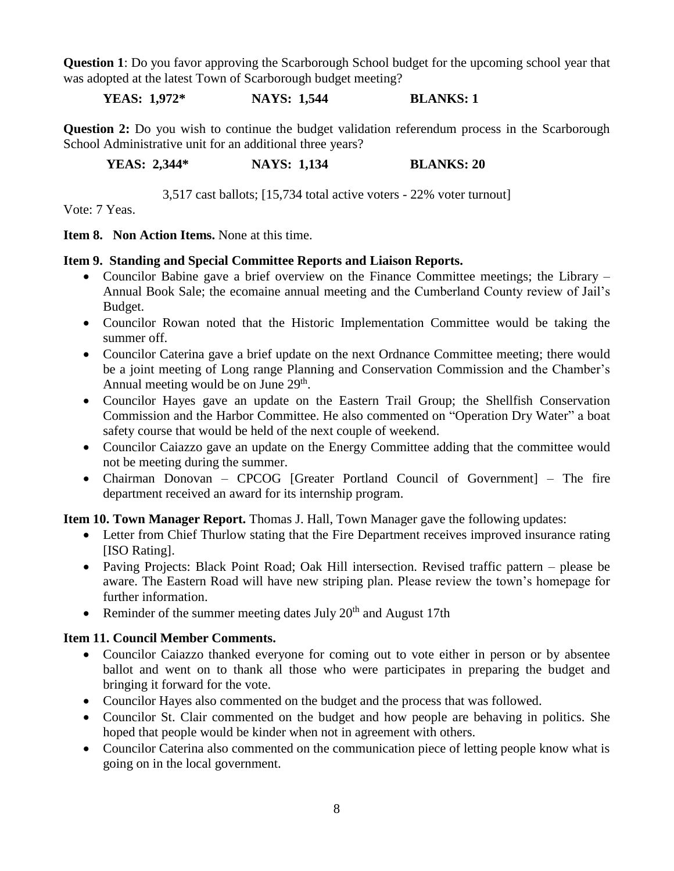**Question 1**: Do you favor approving the Scarborough School budget for the upcoming school year that was adopted at the latest Town of Scarborough budget meeting?

**YEAS: 1,972\* NAYS: 1,544 BLANKS: 1**

**Question 2:** Do you wish to continue the budget validation referendum process in the Scarborough School Administrative unit for an additional three years?

**YEAS: 2,344\* NAYS: 1,134 BLANKS: 20**

3,517 cast ballots; [15,734 total active voters - 22% voter turnout]

Vote: 7 Yeas.

**Item 8. Non Action Items.** None at this time.

# **Item 9. Standing and Special Committee Reports and Liaison Reports.**

- Councilor Babine gave a brief overview on the Finance Committee meetings; the Library Annual Book Sale; the ecomaine annual meeting and the Cumberland County review of Jail's Budget.
- Councilor Rowan noted that the Historic Implementation Committee would be taking the summer off.
- Councilor Caterina gave a brief update on the next Ordnance Committee meeting; there would be a joint meeting of Long range Planning and Conservation Commission and the Chamber's Annual meeting would be on June 29<sup>th</sup>.
- Councilor Hayes gave an update on the Eastern Trail Group; the Shellfish Conservation Commission and the Harbor Committee. He also commented on "Operation Dry Water" a boat safety course that would be held of the next couple of weekend.
- Councilor Caiazzo gave an update on the Energy Committee adding that the committee would not be meeting during the summer.
- Chairman Donovan CPCOG [Greater Portland Council of Government] The fire department received an award for its internship program.

# **Item 10. Town Manager Report.** Thomas J. Hall, Town Manager gave the following updates:

- Letter from Chief Thurlow stating that the Fire Department receives improved insurance rating [ISO Rating].
- Paving Projects: Black Point Road; Oak Hill intersection. Revised traffic pattern please be aware. The Eastern Road will have new striping plan. Please review the town's homepage for further information.
- Reminder of the summer meeting dates July  $20<sup>th</sup>$  and August 17th

# **Item 11. Council Member Comments.**

- Councilor Caiazzo thanked everyone for coming out to vote either in person or by absentee ballot and went on to thank all those who were participates in preparing the budget and bringing it forward for the vote.
- Councilor Hayes also commented on the budget and the process that was followed.
- Councilor St. Clair commented on the budget and how people are behaving in politics. She hoped that people would be kinder when not in agreement with others.
- Councilor Caterina also commented on the communication piece of letting people know what is going on in the local government.